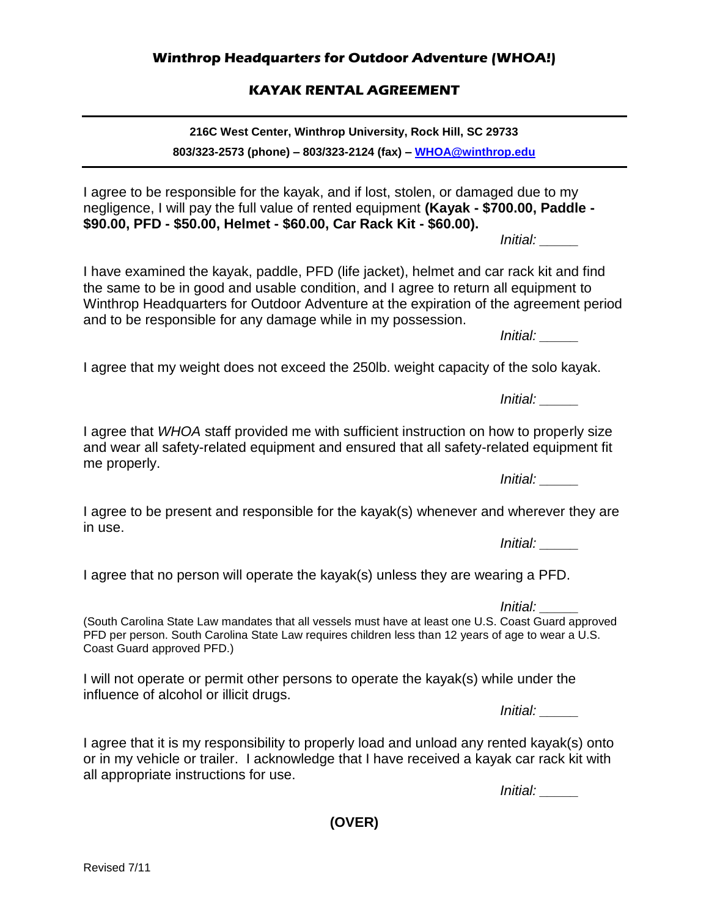## **Winthrop Headquarters for Outdoor Adventure (WHOA!)**

## **KAYAK RENTAL AGREEMENT**

**216C West Center, Winthrop University, Rock Hill, SC 29733**

**803/323-2573 (phone) – 803/323-2124 (fax) – [WHOA@winthrop.edu](mailto:WHOA@winthrop.edu)**

I agree to be responsible for the kayak, and if lost, stolen, or damaged due to my negligence, I will pay the full value of rented equipment **(Kayak - \$700.00, Paddle - \$90.00, PFD - \$50.00, Helmet - \$60.00, Car Rack Kit - \$60.00).**

*Initial: \_\_\_\_\_*

I have examined the kayak, paddle, PFD (life jacket), helmet and car rack kit and find the same to be in good and usable condition, and I agree to return all equipment to Winthrop Headquarters for Outdoor Adventure at the expiration of the agreement period and to be responsible for any damage while in my possession.

*Initial: \_\_\_\_\_*

I agree that my weight does not exceed the 250lb. weight capacity of the solo kayak.

*Initial: \_\_\_\_\_*

I agree that *WHOA* staff provided me with sufficient instruction on how to properly size and wear all safety-related equipment and ensured that all safety-related equipment fit me properly.

I agree to be present and responsible for the kayak(s) whenever and wherever they are in use.

*Initial: \_\_\_\_\_*

I agree that no person will operate the kayak(s) unless they are wearing a PFD.

*Initial: \_\_\_\_\_*

(South Carolina State Law mandates that all vessels must have at least one U.S. Coast Guard approved PFD per person. South Carolina State Law requires children less than 12 years of age to wear a U.S. Coast Guard approved PFD.)

I will not operate or permit other persons to operate the kayak(s) while under the influence of alcohol or illicit drugs.

*Initial: \_\_\_\_\_*

I agree that it is my responsibility to properly load and unload any rented kayak(s) onto or in my vehicle or trailer. I acknowledge that I have received a kayak car rack kit with all appropriate instructions for use.

*Initial: \_\_\_\_\_*

**(OVER)**

*Initial: \_\_\_\_\_*